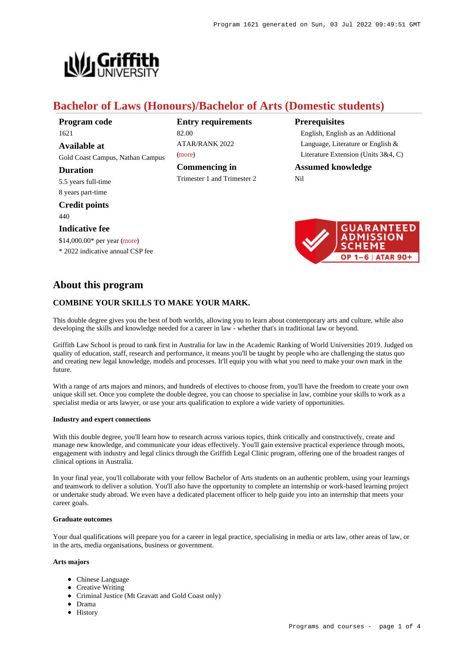

# **Bachelor of Laws (Honours)/Bachelor of Arts (Domestic students)**

| Program code                     |
|----------------------------------|
| 1621                             |
| Available at                     |
| Gold Coast Campus, Nathan Campus |
| Duration                         |
| 5.5 years full-time              |
| 8 years part-time                |
| <b>Credit points</b>             |
| 440                              |
| <b>Indicative fee</b>            |
| \$14,000.00* per year (more)     |
|                                  |

\* 2022 indicative annual CSP fee

**Entry requirements** 82.00 ATAR/RANK 2022 [\(more](https://www148.griffith.edu.au/programs-courses/Program/1621/HowToApply/Domestic#tac-entry-requirements))

**Commencing in** Trimester 1 and Trimester 2

## **Prerequisites**

English, English as an Additional Language, Literature or English & Literature Extension (Units 3&4, C)

**Assumed knowledge** Nil



# **About this program**

# **COMBINE YOUR SKILLS TO MAKE YOUR MARK.**

This double degree gives you the best of both worlds, allowing you to learn about contemporary arts and culture, while also developing the skills and knowledge needed for a career in law - whether that's in traditional law or beyond.

Griffith Law School is proud to rank first in Australia for law in the Academic Ranking of World Universities 2019. Judged on quality of education, staff, research and performance, it means you'll be taught by people who are challenging the status quo and creating new legal knowledge, models and processes. It'll equip you with what you need to make your own mark in the future.

With a range of arts majors and minors, and hundreds of electives to choose from, you'll have the freedom to create your own unique skill set. Once you complete the double degree, you can choose to specialise in law, combine your skills to work as a specialist media or arts lawyer, or use your arts qualification to explore a wide variety of opportunities.

## **Industry and expert connections**

With this double degree, you'll learn how to research across various topics, think critically and constructively, create and manage new knowledge, and communicate your ideas effectively. You'll gain extensive practical experience through moots, engagement with industry and legal clinics through the Griffith Legal Clinic program, offering one of the broadest ranges of clinical options in Australia.

In your final year, you'll collaborate with your fellow Bachelor of Arts students on an authentic problem, using your learnings and teamwork to deliver a solution. You'll also have the opportunity to complete an internship or work-based learning project or undertake study abroad. We even have a dedicated placement officer to help guide you into an internship that meets your career goals.

### **Graduate outcomes**

Your dual qualifications will prepare you for a career in legal practice, specialising in media or arts law, other areas of law, or in the arts, media organisations, business or government.

### **Arts majors**

- Chinese Language
- Creative Writing
- Criminal Justice (Mt Gravatt and Gold Coast only)
- Drama
- History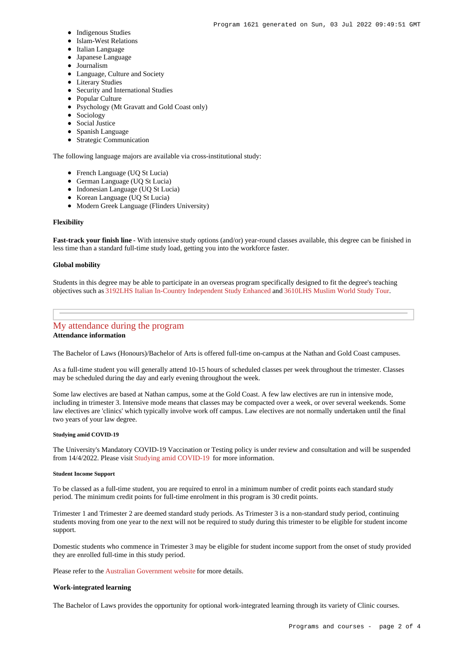- Indigenous Studies
- Islam-West Relations
- $\bullet$  Italian Language
- Japanese Language
- Journalism
- Language, Culture and Society
- **•** Literary Studies
- Security and International Studies
- Popular Culture
- Psychology (Mt Gravatt and Gold Coast only)
- Sociology
- Social Justice
- Spanish Language
- Strategic Communication

The following language majors are available via cross-institutional study:

- French Language (UQ St Lucia)
- German Language (UQ St Lucia)
- Indonesian Language (UQ St Lucia)
- Korean Language (UQ St Lucia)
- Modern Greek Language (Flinders University)

#### **Flexibility**

**Fast-track your finish line** - With intensive study options (and/or) year-round classes available, this degree can be finished in less time than a standard full-time study load, getting you into the workforce faster.

#### **Global mobility**

Students in this degree may be able to participate in an overseas program specifically designed to fit the degree's teaching objectives such as [3192LHS Italian In-Country Independent Study Enhanced](https://www148.griffith.edu.au/Course/3192LHS) and [3610LHS Muslim World Study Tour](https://www148.griffith.edu.au/Course/3610LHS).

## [My attendance during the program](https://www148.griffith.edu.au/programs-courses/Program/1621/Overview/#attendance) **Attendance information**

The Bachelor of Laws (Honours)/Bachelor of Arts is offered full-time on-campus at the Nathan and Gold Coast campuses.

As a full-time student you will generally attend 10-15 hours of scheduled classes per week throughout the trimester. Classes may be scheduled during the day and early evening throughout the week.

Some law electives are based at Nathan campus, some at the Gold Coast. A few law electives are run in intensive mode, including in trimester 3. Intensive mode means that classes may be compacted over a week, or over several weekends. Some law electives are 'clinics' which typically involve work off campus. Law electives are not normally undertaken until the final two years of your law degree.

## **Studying amid COVID-19**

The University's Mandatory COVID-19 Vaccination or Testing policy is under review and consultation and will be suspended from 14/4/2022. Please visit [Studying amid COVID-19](https://www.griffith.edu.au/coronavirus/studying-amid-covid-19) for more information.

#### **Student Income Support**

To be classed as a full-time student, you are required to enrol in a minimum number of credit points each standard study period. The minimum credit points for full-time enrolment in this program is 30 credit points.

Trimester 1 and Trimester 2 are deemed standard study periods. As Trimester 3 is a non-standard study period, continuing students moving from one year to the next will not be required to study during this trimester to be eligible for student income support.

Domestic students who commence in Trimester 3 may be eligible for student income support from the onset of study provided they are enrolled full-time in this study period.

Please refer to the [Australian Government website](https://www.humanservices.gov.au/customer/dhs/centrelink) for more details.

#### **Work-integrated learning**

The Bachelor of Laws provides the opportunity for optional work-integrated learning through its variety of Clinic courses.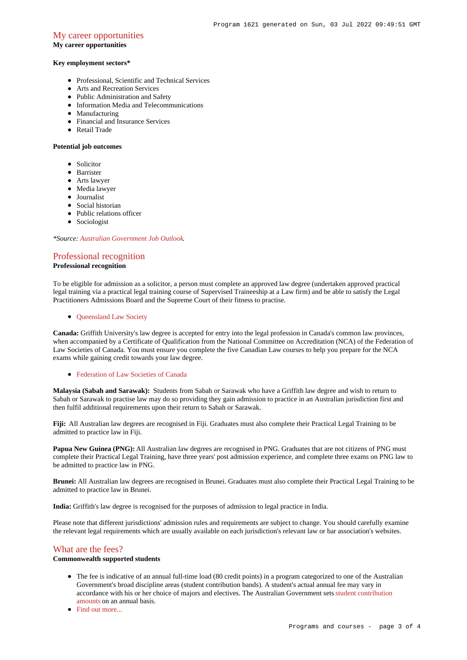## [My career opportunities](https://www148.griffith.edu.au/programs-courses/Program/1621/Overview/#opportunities)

#### **My career opportunities**

#### **Key employment sectors\***

- Professional, Scientific and Technical Services
- Arts and Recreation Services
- Public Administration and Safety
- Information Media and Telecommunications
- Manufacturing
- Financial and Insurance Services
- Retail Trade

### **Potential job outcomes**

- Solicitor
- **•** Barrister
- Arts lawyer
- Media lawyer
- **Journalist**
- Social historian
- Public relations officer
- Sociologist

*\*Source: [Australian Government Job Outlook](https://joboutlook.gov.au/).*

## [Professional recognition](https://www148.griffith.edu.au/programs-courses/Program/1621/Overview/#recognition)

## **Professional recognition**

To be eligible for admission as a solicitor, a person must complete an approved law degree (undertaken approved practical legal training via a practical legal training course of Supervised Traineeship at a Law firm) and be able to satisfy the Legal Practitioners Admissions Board and the Supreme Court of their fitness to practise.

• Oueensland Law Society

**Canada:** Griffith University's law degree is accepted for entry into the legal profession in Canada's common law provinces, when accompanied by a Certificate of Qualification from the National Committee on Accreditation (NCA) of the Federation of Law Societies of Canada. You must ensure you complete the five Canadian Law courses to help you prepare for the NCA exams while gaining credit towards your law degree.

#### • [Federation of Law Societies of Canada](http://flsc.ca/)

**Malaysia (Sabah and Sarawak):** Students from Sabah or Sarawak who have a Griffith law degree and wish to return to Sabah or Sarawak to practise law may do so providing they gain admission to practice in an Australian jurisdiction first and then fulfil additional requirements upon their return to Sabah or Sarawak.

**Fiji:** All Australian law degrees are recognised in Fiji. Graduates must also complete their Practical Legal Training to be admitted to practice law in Fiji.

**Papua New Guinea (PNG):** All Australian law degrees are recognised in PNG. Graduates that are not citizens of PNG must complete their Practical Legal Training, have three years' post admission experience, and complete three exams on PNG law to be admitted to practice law in PNG.

**Brunei:** All Australian law degrees are recognised in Brunei. Graduates must also complete their Practical Legal Training to be admitted to practice law in Brunei.

**India:** Griffith's law degree is recognised for the purposes of admission to legal practice in India.

Please note that different jurisdictions' admission rules and requirements are subject to change. You should carefully examine the relevant legal requirements which are usually available on each jurisdiction's relevant law or bar association's websites.

#### [What are the fees?](https://www148.griffith.edu.au/programs-courses/Program/1621/Overview/#fees)

## **Commonwealth supported students**

- The fee is indicative of an annual full-time load (80 credit points) in a program categorized to one of the Australian Government's broad discipline areas (student contribution bands). A student's actual annual fee may vary in accordance with his or her choice of majors and electives. The Australian Government sets [student contribution](http://studyassist.gov.au/sites/studyassist/helppayingmyfees/csps/pages/student-contribution-amounts) [amounts](http://studyassist.gov.au/sites/studyassist/helppayingmyfees/csps/pages/student-contribution-amounts) on an annual basis.
- Find out more...